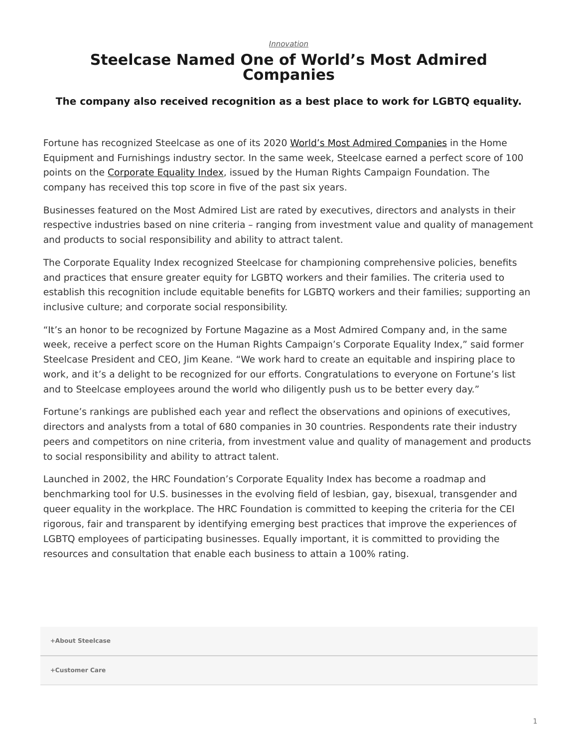*[Innovation](https://www.steelcase.com/eu-en/research/topics/innovation/)*

## **Steelcase Named One of World's Most Admired Companies**

## **The company also received recognition as a best place to work for LGBTQ equality.**

Fortune has recognized Steelcase as one of its 2020 [World's Most Admired Companies](https://fortune.com/worlds-most-admired-companies/) in the Home Equipment and Furnishings industry sector. In the same week, Steelcase earned a perfect score of 100 points on the [Corporate Equality Index](https://www.hrc.org/campaigns/corporate-equality-index), issued by the Human Rights Campaign Foundation. The company has received this top score in five of the past six years.

Businesses featured on the Most Admired List are rated by executives, directors and analysts in their respective industries based on nine criteria – ranging from investment value and quality of management and products to social responsibility and ability to attract talent.

The Corporate Equality Index recognized Steelcase for championing comprehensive policies, benefits and practices that ensure greater equity for LGBTQ workers and their families. The criteria used to establish this recognition include equitable benefits for LGBTQ workers and their families; supporting an inclusive culture; and corporate social responsibility.

"It's an honor to be recognized by Fortune Magazine as a Most Admired Company and, in the same week, receive a perfect score on the Human Rights Campaign's Corporate Equality Index," said former Steelcase President and CEO, Jim Keane. "We work hard to create an equitable and inspiring place to work, and it's a delight to be recognized for our efforts. Congratulations to everyone on Fortune's list and to Steelcase employees around the world who diligently push us to be better every day."

Fortune's rankings are published each year and reflect the observations and opinions of executives, directors and analysts from a total of 680 companies in 30 countries. Respondents rate their industry peers and competitors on nine criteria, from investment value and quality of management and products to social responsibility and ability to attract talent.

Launched in 2002, the HRC Foundation's Corporate Equality Index has become a roadmap and benchmarking tool for U.S. businesses in the evolving field of lesbian, gay, bisexual, transgender and queer equality in the workplace. The HRC Foundation is committed to keeping the criteria for the CEI rigorous, fair and transparent by identifying emerging best practices that improve the experiences of LGBTQ employees of participating businesses. Equally important, it is committed to providing the resources and consultation that enable each business to attain a 100% rating.

**[+About Steelcase](https://www.steelcase.com/eu-en/about/steelcase/our-company/)**

**+Customer Care**